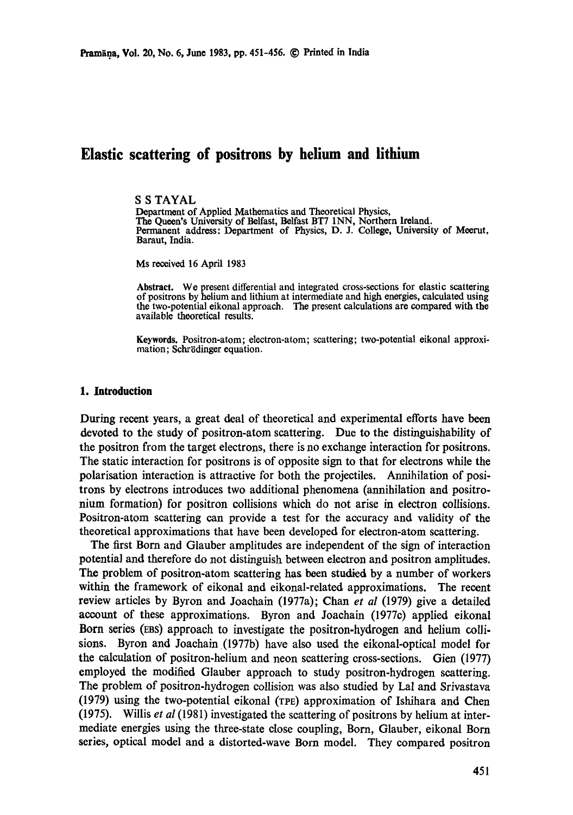# **Elastic scattering of positrons by helium and lithium**

## S S TAYAL

Department of Applied Mathematics and Theoretical Physics, The Queen's University of Belfast, Belfast BT7 INN, Northern Ireland. Permanent address: Department of Physics, D. J. College, University of Meerut, Baraut, India.

Ms received 16 April 1983

**Abstract.** We present differential and integrated cross-sections for elastic scattering of positrons by helium and lithium at intermediate and high energies, calculated using the two-potential eikonal approach. The present calculations are compared with the available theoretical results.

**Keywords.** Positron-atom; electron-atom; scattering; two-potential eikonal approximation; Schrödinger equation.

#### **1. Introduction**

During recent years, a great deal of theoretical and experimental efforts have been devoted to the study of positron-atom scattering. Due to the distinguishability of the positron from the target electrons, there is no exchange interaction for positrons. The static interaction for positrons is of opposite sign to that for electrons while the polarisation interaction is attractive for both the projectiles. Annihilation of positrons by electrons introduces two additional phenomena (annihilation and positronium formation) for positron collisions which do not arise in electron collisions. Positron-atom scattering can provide a test for the accuracy and validity of the theoretical approximations that have been developed for electron-atom scattering.

The first Born and Glauber amplitudes are independent of the sign of interaction potential and therefore do not distinguish between electron and positron amplitudes. The problem of positron-atom scattering has been studied by a number of workers within the framework of eikonal and eikonal-related approximations. The recent review articles by Byron and Joachain (1977a); Chan *et al* (1979) give a detailed account of these approximations. Byron and Joaehain (1977c) applied eikonal Born series (EBS) approach to investigate the positron-hydrogen and helium collisions. Byron and Joaehain (1977b) have also used the eikonal-optical model for the calculation of positron-helium and neon scattering cross-sections. Gien (1977) employed the modified Glauber approach to study positron-hydrogen scattering. The problem of positron-hydrogen collision was also studied by Lal and Srivastava (1979) using the two-potential eikonal (TPE) approximation of Ishihara and Chen (1975). Willis *et al* (1981) investigated the scattering of positrons by helium at intermediate energies using the three-state close coupling, Born, Glauber, eikonal Born series, optical model and a distorted-wave Born model. They compared positron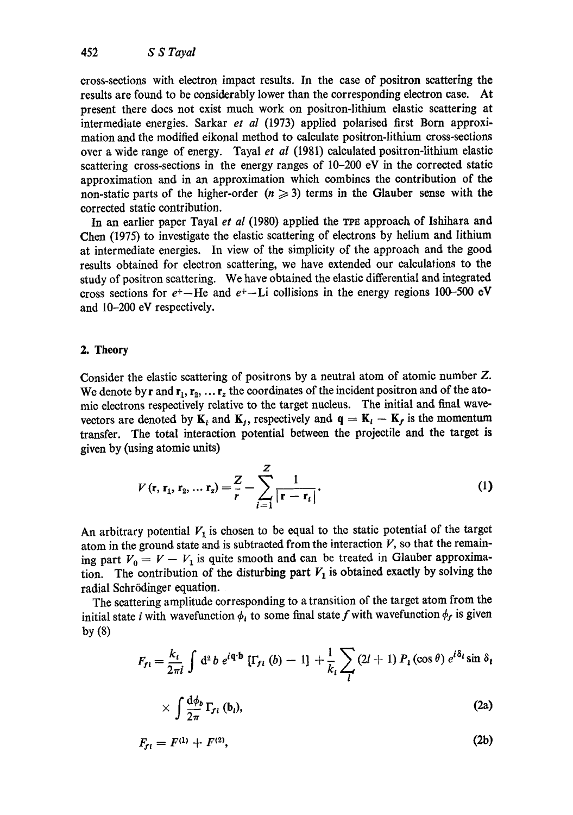cross-sections with electron impact results. In the case of positron scattering the results are found to be considerably lower than the corresponding electron case. At present there does not exist much work on positron-lithium elastic scattering at intermediate energies. Sarkar *et al* (1973) applied polarised first Born approximation and the modified eikonal method to calculate positron-lithium cross-sections over a wide range of energy. Tayal *et al* (1981) calculated positron-lithium elastic scattering cross-sections in the energy ranges of 10-200 eV in the corrected static approximation and in an approximation which combines the contribution of the non-static parts of the higher-order  $(n \geq 3)$  terms in the Glauber sense with the corrected static contribution.

In an earlier paper Tayal *et al* (1980) applied the TPE approach of Ishihara and Chen (1975) to investigate the elastic scattering of electrons by helium and lithium at intermediate energies. In view of the simplicity of the approach and the good results obtained for electron scattering, we have extended our calculations to the study of positron scattering. We have obtained the elastic differential and integrated cross sections for  $e^+$ -He and  $e^+$ -Li collisions in the energy regions 100-500 eV and 10-200 eV respectively.

# **2. Theory**

Consider the elastic scattering of positrons by a neutral atom of atomic number Z. We denote by r and  $r_1, r_2, \ldots r_z$  the coordinates of the incident positron and of the atomic electrons respectively relative to the target nucleus. The initial and final wavevectors are denoted by  $K_i$  and  $K_j$ , respectively and  $q = K_i - K_j$  is the momentum transfer. The total interaction potential between the projectile and the target is given by (using atomic units)

$$
V(r, r_1, r_2, ... r_z) = \frac{Z}{r} - \sum_{i=1}^{Z} \frac{1}{|r - r_i|}.
$$
 (1)

An arbitrary potential  $V_1$  is chosen to be equal to the static potential of the target atom in the ground state and is subtracted from the interaction  $V$ , so that the remaining part  $V_0 = V - V_1$  is quite smooth and can be treated in Glauber approximation. The contribution of the disturbing part  $V_1$  is obtained exactly by solving the radial Schrödinger equation.

The scattering amplitude corresponding to a transition of the target atom from the initial state *i* with wavefunction  $\phi_i$  to some final state f with wavefunction  $\phi_f$  is given by (8)

$$
F_{fl} = \frac{k_l}{2\pi i} \int d^2 b e^{i\mathbf{q} \cdot \mathbf{b}} \left[ \Gamma_{fl} (b) - 1 \right] + \frac{1}{k_l} \sum_l (2l+1) P_l (\cos \theta) e^{i\delta_l} \sin \delta_l
$$

$$
\times \int \frac{\mathrm{d}\phi_b}{2\pi} \Gamma_{fi} \, (\mathbf{b}_i), \tag{2a}
$$

$$
F_{fi} = F^{(1)} + F^{(2)}, \tag{2b}
$$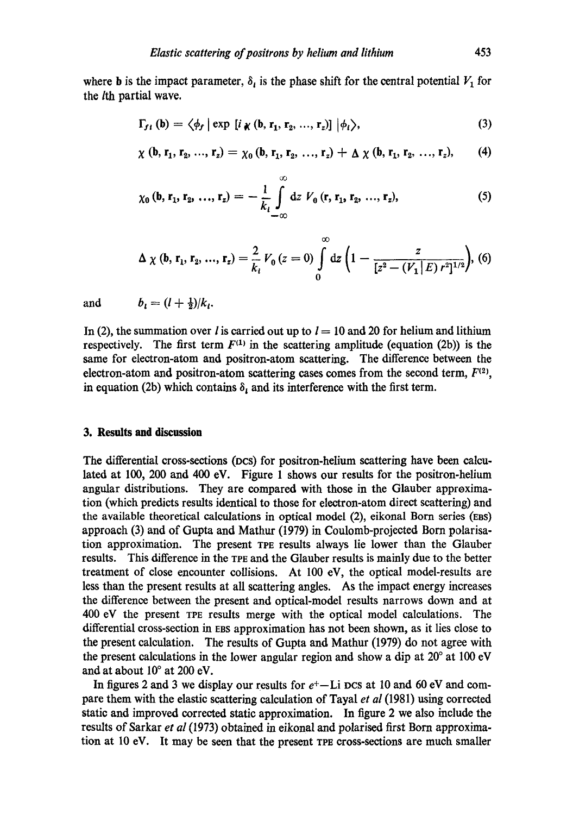where **b** is the impact parameter,  $\delta_i$  is the phase shift for the central potential  $V_1$  for the lth partial wave.

$$
\Gamma_{f i} \left( \mathbf{b} \right) = \left\langle \phi_{f} \mid \exp \left[ i \chi \left( \mathbf{b}, \mathbf{r}_{1}, \mathbf{r}_{2}, \ldots, \mathbf{r}_{z} \right) \right] \big| \phi_{i} \right\rangle, \tag{3}
$$

$$
\chi(b, r_1, r_2, ..., r_z) = \chi_0(b, r_1, r_2, ..., r_z) + \Delta \chi(b, r_1, r_2, ..., r_z), \qquad (4)
$$

$$
\chi_0 (\mathbf{b}, \mathbf{r}_1, \mathbf{r}_2, ..., \mathbf{r}_z) = -\frac{1}{k_t} \int_{-\infty}^{\infty} dz \ V_0 (\mathbf{r}, \mathbf{r}_1, \mathbf{r}_2, ..., \mathbf{r}_z), \tag{5}
$$

$$
\Delta \chi (\mathbf{b}, \mathbf{r_1}, \mathbf{r_2}, ..., \mathbf{r_z}) = \frac{2}{k_i} V_0 (z = 0) \int_0^\infty dz \left( 1 - \frac{z}{[z^2 - (V_1 \,|\, E) \, r^2]^{1/2}} \right), (6)
$$

and  $b_i = (l + \frac{1}{2})/k_i$ .

In (2), the summation over *l* is carried out up to  $l = 10$  and 20 for helium and lithium respectively. The first term  $F^{(1)}$  in the scattering amplitude (equation (2b)) is the same for electron-atom and positron-atom scattering. The difference between the electron-atom and positron-atom scattering cases comes from the second term,  $F^{(2)}$ , in equation (2b) which contains  $\delta_i$  and its interference with the first term.

### **3. Results and discussion**

The differential cross=sections (Des) for positron-helium scattering have been calculated at 100, 200 and 400 eV. Figure 1 shows our results for the positron-helium angular distributions. They are compared with those in the Glauber approximation (which predicts results identical to those for electron-atom direct scattering) and the available theoretical calculations in optical model (2), eikonal Born series (Ens) approach (3) and of Gupta and Mathur (1979) in Coulomb-projected Born polarisation approximation. The present TPE results always lie lower than the Glauber results. This difference in the TPE and the Glauber results is mainly due to the better treatment of close encounter collisions. At 100 eV, the optical model-results are less than the present results at all scattering angles. As the impact energy increases the difference between the present and optical-model results narrows down and at 400 eV the present TPE results merge with the optical model calculations. The differential cross-section in EBS approximation has not been shown, as it lies dose to the present calculation. The results of Gupta and Mathur (1979) do not agree with the present calculations in the lower angular region and show a dip at  $20^{\circ}$  at  $100 \text{ eV}$ and at about  $10^{\circ}$  at 200 eV.

In figures 2 and 3 we display our results for  $e^+$ -Li DCS at 10 and 60 eV and compare them with the elastic scattering calculation of Tayal *et al* (1981) using corrected static and improved corrected static approximation. In figure 2 we also include the results of Sarkar *et al* (1973) obtained in eikonal and polarised first Born approximation at 10 eV. It may be seen that the present TPE cross-sections are much smaller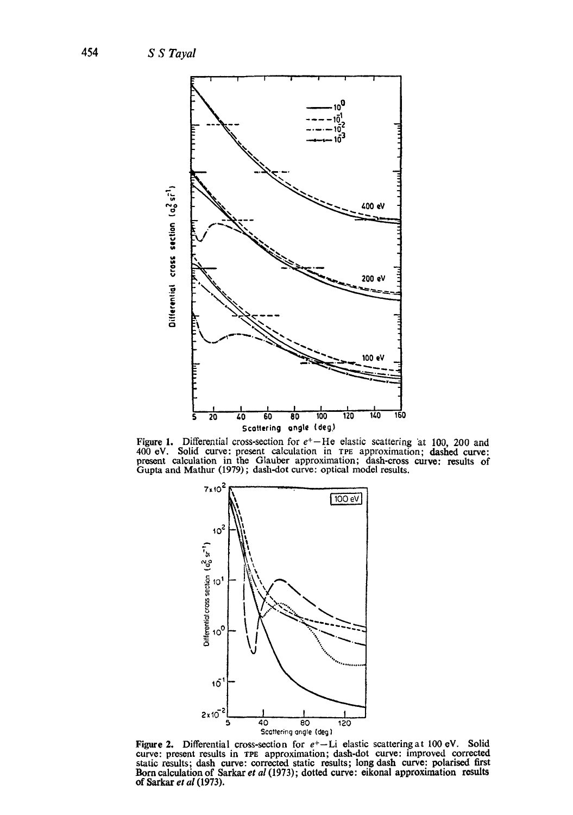

Figure 1. Differential cross-section for  $e^+-$ He elastic scattering at 100, 200 and 400 eV. Solid curve: present calculation in TPE approximation; dashed curve: present calculation in the Glauber approximation; dash-cross



Figure 2. Differential cross-section for  $e^+-$ Li elastic scattering at 100 eV. Solid curve: present results in TPE approximation; dash-dot curve: improved corrected static results; dash curve: corrected static results; lo of Sarkar et al (1973).

454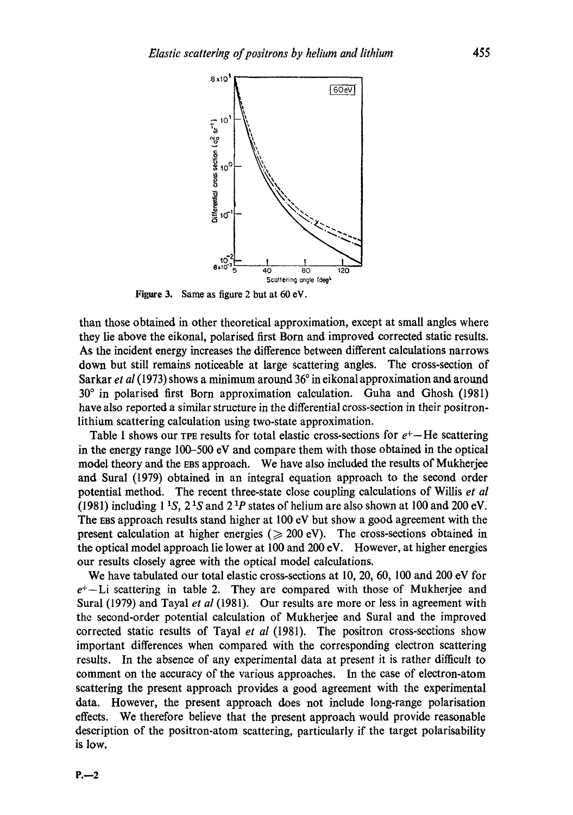

Figure 3. Same as figure 2 but at 60 eV.

than those obtained in other theoretical approximation, except at small angles where they lie above the eikonal, polarised first Born and improved corrected static results. As the incident energy increases the difference between different calculations narrows down but still remains noticeable at large scattering angles. The cross-section of Sarkar *et al* (1973) shows a minimum around 36° in eikonal approximation and around 30 ° in polarised first Born approximation calculation. Guha and Ghosh (1981) have also reported a similar structure in the differential cross-section in their positronlithium scattering calculation using two-state approximation.

Table 1 shows our TPE results for total elastic cross-sections for  $e^+$ —He scattering in the energy range 100-500 eV and compare them with those obtained in the optical model theory and the EaS approach. We have also included the results of Mukherjee and Sural (1979) obtained in an integral equation approach to the second order potential method. The recent threc-state close coupling calculations of Willis *et al*  (1981) including  $1\,{}^{1}S$ ,  $2\,{}^{1}S$  and  $2\,{}^{1}P$  states of helium are also shown at 100 and 200 eV. The Eas approach results stand higher at 100 eV but show a good agreement with the present calculation at higher energies ( $\geq$  200 eV). The cross-sections obtained in the optical model approach lie lower at 100 and 200 eV. However, at higher energies our results closely agree with the optical model calculations.

We have tabulated our total elastic cross-sections at 10, 20, 60, 100 and 200 eV for  $e^+$ --Li scattering in table 2. They are compared with those of Mukherjee and Sural (1979) and Tayal *et al* (1981). Our results are more or less in agreement with the second-order potential calculation of Mukherjee and Sural and the improved corrected static results of Tayal *et al* (1981). The positron cross-sections show important differences when compared with the corresponding electron scattering results. In the absence of any experimental data at present it is rather difficult to comment on the accuracy of the various approaches. In the case of electron-atom scattering the present approach provides a good agreement with the experimental data. However, the present approach does not include long-range polarisation effects. We therefore believe that the present approach would provide reasonable description of the positron-atom scattering, particularly if the target polarisability **is** low.